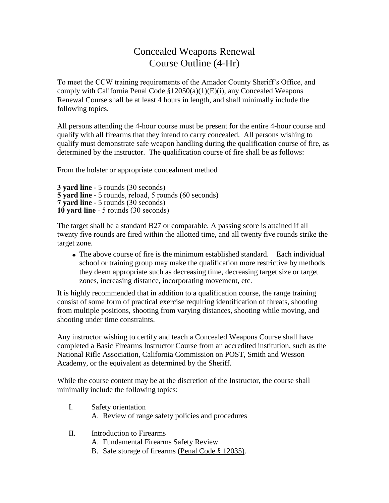## Concealed Weapons Renewal Course Outline (4-Hr)

To meet the CCW training requirements of the Amador County Sheriff's Office, and comply with California Penal Code §12050(a)(1)(E)(i), any Concealed Weapons Renewal Course shall be at least 4 hours in length, and shall minimally include the following topics.

All persons attending the 4-hour course must be present for the entire 4-hour course and qualify with all firearms that they intend to carry concealed. All persons wishing to qualify must demonstrate safe weapon handling during the qualification course of fire, as determined by the instructor. The qualification course of fire shall be as follows:

From the holster or appropriate concealment method

```
3 yard line - 5 rounds (30 seconds)
5 yard line - 5 rounds, reload, 5 rounds (60 seconds)
7 yard line - 5 rounds (30 seconds)
10 yard line - 5 rounds (30 seconds)
```
The target shall be a standard B27 or comparable. A passing score is attained if all twenty five rounds are fired within the allotted time, and all twenty five rounds strike the target zone.

• The above course of fire is the minimum established standard. Each individual school or training group may make the qualification more restrictive by methods they deem appropriate such as decreasing time, decreasing target size or target zones, increasing distance, incorporating movement, etc.

It is highly recommended that in addition to a qualification course, the range training consist of some form of practical exercise requiring identification of threats, shooting from multiple positions, shooting from varying distances, shooting while moving, and shooting under time constraints.

Any instructor wishing to certify and teach a Concealed Weapons Course shall have completed a Basic Firearms Instructor Course from an accredited institution, such as the National Rifle Association, California Commission on POST, Smith and Wesson Academy, or the equivalent as determined by the Sheriff.

While the course content may be at the discretion of the Instructor, the course shall minimally include the following topics:

- I. Safety orientation A. Review of range safety policies and procedures
- II. Introduction to Firearms
	- A. Fundamental Firearms Safety Review
	- B. Safe storage of firearms (Penal Code § 12035).